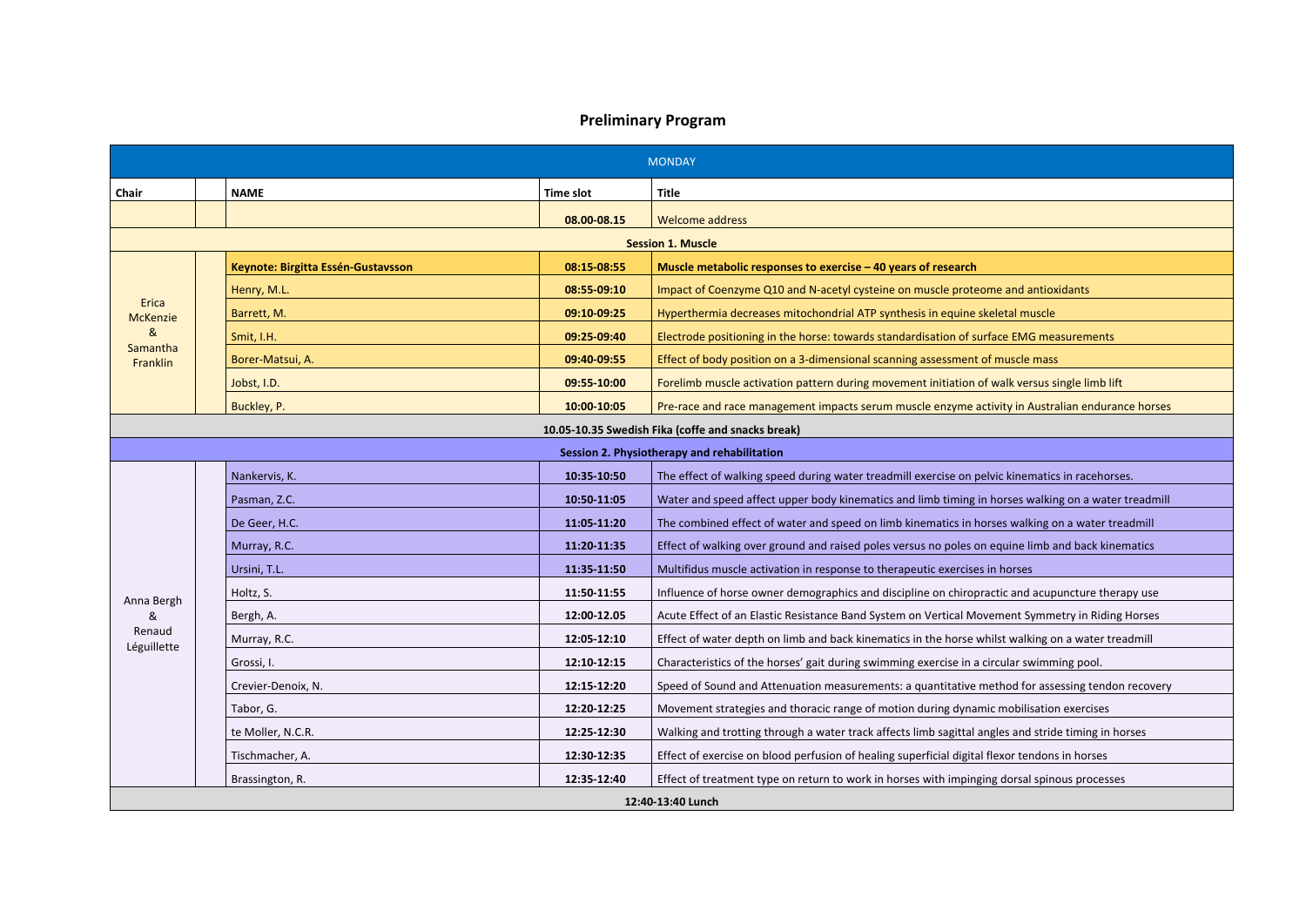## **Preliminary Program**

|                          | <b>MONDAY</b>                                     |                  |                                                                                                     |  |  |  |
|--------------------------|---------------------------------------------------|------------------|-----------------------------------------------------------------------------------------------------|--|--|--|
| Chair                    | <b>NAME</b>                                       | <b>Time slot</b> | <b>Title</b>                                                                                        |  |  |  |
|                          |                                                   | 08.00-08.15      | <b>Welcome address</b>                                                                              |  |  |  |
|                          |                                                   |                  | <b>Session 1. Muscle</b>                                                                            |  |  |  |
|                          | Keynote: Birgitta Essén-Gustavsson                | 08:15-08:55      | Muscle metabolic responses to exercise - 40 years of research                                       |  |  |  |
|                          | Henry, M.L.                                       | 08:55 09:10      | Impact of Coenzyme Q10 and N-acetyl cysteine on muscle proteome and antioxidants                    |  |  |  |
| Erica<br><b>McKenzie</b> | Barrett, M.                                       | 09:10 09:25      | Hyperthermia decreases mitochondrial ATP synthesis in equine skeletal muscle                        |  |  |  |
| &                        | Smit, I.H.                                        | 09:25-09:40      | Electrode positioning in the horse: towards standardisation of surface EMG measurements             |  |  |  |
| Samantha<br>Franklin     | Borer-Matsui, A.                                  | 09:40-09:55      | Effect of body position on a 3-dimensional scanning assessment of muscle mass                       |  |  |  |
|                          | Jobst, I.D.                                       | 09:55-10:00      | Forelimb muscle activation pattern during movement initiation of walk versus single limb lift       |  |  |  |
|                          | Buckley, P.                                       | 10:00-10:05      | Pre-race and race management impacts serum muscle enzyme activity in Australian endurance horses    |  |  |  |
|                          | 10.05-10.35 Swedish Fika (coffe and snacks break) |                  |                                                                                                     |  |  |  |
|                          |                                                   |                  | Session 2. Physiotherapy and rehabilitation                                                         |  |  |  |
|                          | Nankervis, K.                                     | 10:35 10:50      | The effect of walking speed during water treadmill exercise on pelvic kinematics in racehorses.     |  |  |  |
|                          | Pasman, Z.C.                                      | 10:50-11:05      | Water and speed affect upper body kinematics and limb timing in horses walking on a water treadmill |  |  |  |
|                          | De Geer, H.C.                                     | 11:05 11:20      | The combined effect of water and speed on limb kinematics in horses walking on a water treadmill    |  |  |  |
|                          | Murray, R.C.                                      | 11:20-11:35      | Effect of walking over ground and raised poles versus no poles on equine limb and back kinematics   |  |  |  |
|                          | Ursini, T.L.                                      | 11:35-11:50      | Multifidus muscle activation in response to therapeutic exercises in horses                         |  |  |  |
| Anna Bergh               | Holtz, S.                                         | 11:50-11:55      | Influence of horse owner demographics and discipline on chiropractic and acupuncture therapy use    |  |  |  |
| &                        | Bergh, A.                                         | 12:00-12.05      | Acute Effect of an Elastic Resistance Band System on Vertical Movement Symmetry in Riding Horses    |  |  |  |
| Renaud<br>Léguillette    | Murray, R.C.                                      | 12:05-12:10      | Effect of water depth on limb and back kinematics in the horse whilst walking on a water treadmill  |  |  |  |
|                          | Grossi, I.                                        | 12:10-12:15      | Characteristics of the horses' gait during swimming exercise in a circular swimming pool.           |  |  |  |
|                          | Crevier-Denoix, N.                                | 12:15-12:20      | Speed of Sound and Attenuation measurements: a quantitative method for assessing tendon recovery    |  |  |  |
|                          | Tabor, G.                                         | 12:20-12:25      | Movement strategies and thoracic range of motion during dynamic mobilisation exercises              |  |  |  |
|                          | te Moller, N.C.R.                                 | 12:25-12:30      | Walking and trotting through a water track affects limb sagittal angles and stride timing in horses |  |  |  |
|                          | Tischmacher, A.                                   | 12:30-12:35      | Effect of exercise on blood perfusion of healing superficial digital flexor tendons in horses       |  |  |  |
|                          | Brassington, R.                                   | 12:35-12:40      | Effect of treatment type on return to work in horses with impinging dorsal spinous processes        |  |  |  |
| 12:40-13:40 Lunch        |                                                   |                  |                                                                                                     |  |  |  |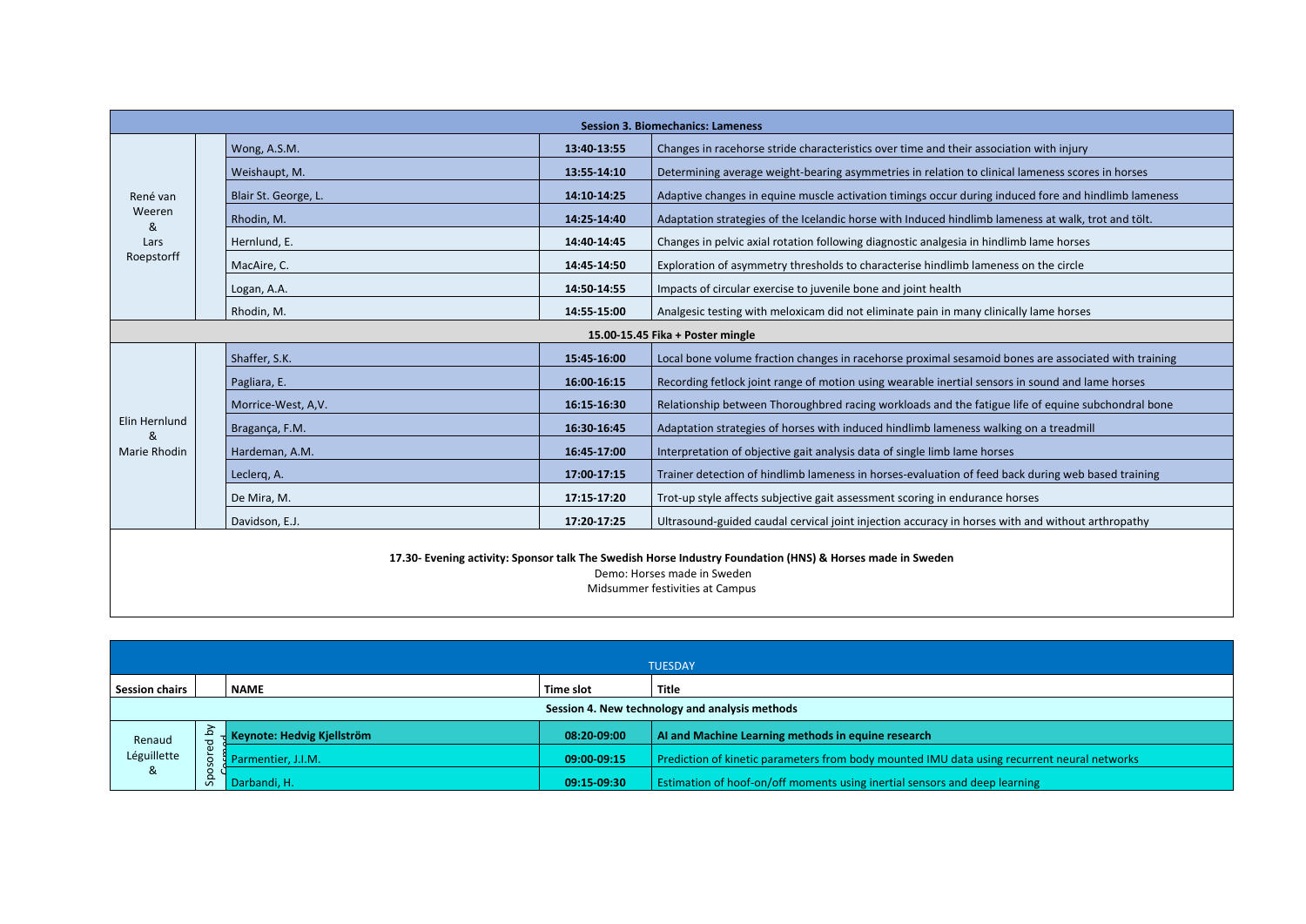| <b>Session 3. Biomechanics: Lameness</b>                                                                                                 |                      |             |                                                                                                      |  |  |
|------------------------------------------------------------------------------------------------------------------------------------------|----------------------|-------------|------------------------------------------------------------------------------------------------------|--|--|
|                                                                                                                                          | Wong, A.S.M.         | 13:40 13:55 | Changes in racehorse stride characteristics over time and their association with injury              |  |  |
|                                                                                                                                          | Weishaupt, M.        | 13:55-14:10 | Determining average weight-bearing asymmetries in relation to clinical lameness scores in horses     |  |  |
| René van                                                                                                                                 | Blair St. George, L. | 14:10-14:25 | Adaptive changes in equine muscle activation timings occur during induced fore and hindlimb lameness |  |  |
| Weeren<br>&                                                                                                                              | Rhodin, M.           | 14:25-14:40 | Adaptation strategies of the Icelandic horse with Induced hindlimb lameness at walk, trot and tölt.  |  |  |
| Lars                                                                                                                                     | Hernlund, E.         | 14:40 14:45 | Changes in pelvic axial rotation following diagnostic analgesia in hindlimb lame horses              |  |  |
| Roepstorff                                                                                                                               | MacAire, C.          | 14:45 14:50 | Exploration of asymmetry thresholds to characterise hindlimb lameness on the circle                  |  |  |
|                                                                                                                                          | Logan, A.A.          | 14:50-14:55 | Impacts of circular exercise to juvenile bone and joint health                                       |  |  |
|                                                                                                                                          | Rhodin, M.           | 14:55-15:00 | Analgesic testing with meloxicam did not eliminate pain in many clinically lame horses               |  |  |
| 15.00-15.45 Fika + Poster mingle                                                                                                         |                      |             |                                                                                                      |  |  |
|                                                                                                                                          | Shaffer, S.K.        | 15:45 16:00 | Local bone volume fraction changes in racehorse proximal sesamoid bones are associated with training |  |  |
|                                                                                                                                          | Pagliara, E.         | 16:00 16:15 | Recording fetlock joint range of motion using wearable inertial sensors in sound and lame horses     |  |  |
|                                                                                                                                          | Morrice-West, A, V.  | 16:15-16:30 | Relationship between Thoroughbred racing workloads and the fatigue life of equine subchondral bone   |  |  |
| Elin Hernlund<br>୍ଷ                                                                                                                      | Bragança, F.M.       | 16:30 16:45 | Adaptation strategies of horses with induced hindlimb lameness walking on a treadmill                |  |  |
| Marie Rhodin                                                                                                                             | Hardeman, A.M.       | 16:45 17:00 | Interpretation of objective gait analysis data of single limb lame horses                            |  |  |
|                                                                                                                                          | Leclerg, A.          | 17:00 17:15 | Trainer detection of hindlimb lameness in horses-evaluation of feed back during web based training   |  |  |
|                                                                                                                                          | De Mira, M.          | 17:15 17:20 | Trot-up style affects subjective gait assessment scoring in endurance horses                         |  |  |
|                                                                                                                                          | Davidson, E.J.       | 17:20 17:25 | Ultrasound-guided caudal cervical joint injection accuracy in horses with and without arthropathy    |  |  |
| 17.30- Evening activity: Sponsor talk The Swedish Horse Industry Foundation (HNS) & Horses made in Sweden<br>Demo: Horses made in Sweden |                      |             |                                                                                                      |  |  |

Midsummer festivities at Campus

|                                         |                                                |                            |             | <b>TUESDAY</b>                                                                              |  |  |
|-----------------------------------------|------------------------------------------------|----------------------------|-------------|---------------------------------------------------------------------------------------------|--|--|
| <b>Session chairs</b>                   | <b>Title</b><br>Time slot<br><b>NAME</b>       |                            |             |                                                                                             |  |  |
|                                         | Session 4. New technology and analysis methods |                            |             |                                                                                             |  |  |
| Renaud<br>Léguillette<br>8 <sup>2</sup> | λá<br>്ധ<br>႕                                  | Keynote: Hedvig Kjellström | 08:20-09:00 | AI and Machine Learning methods in equine research                                          |  |  |
|                                         |                                                | Parmentier, J.I.M.         | 09:00-09:15 | Prediction of kinetic parameters from body mounted IMU data using recurrent neural networks |  |  |
|                                         |                                                | Darbandi, H.               | 09:15-09:30 | Estimation of hoof-on/off moments using inertial sensors and deep learning                  |  |  |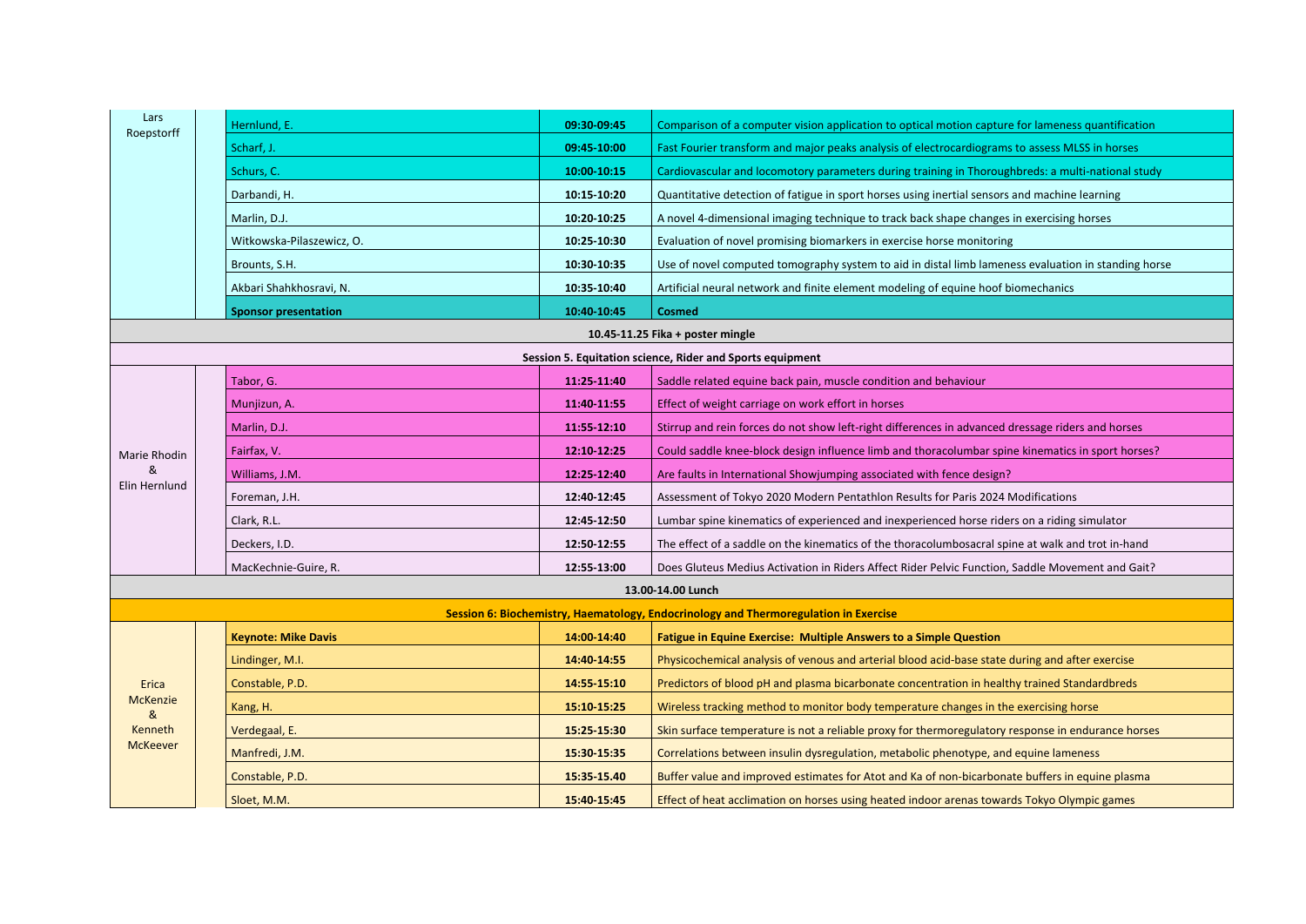| Lars            | Hernlund, E.                | 09:30-09:45 | Comparison of a computer vision application to optical motion capture for lameness quantification   |
|-----------------|-----------------------------|-------------|-----------------------------------------------------------------------------------------------------|
| Roepstorff      | Scharf, J.                  | 09:45-10:00 | Fast Fourier transform and major peaks analysis of electrocardiograms to assess MLSS in horses      |
|                 |                             |             |                                                                                                     |
|                 | Schurs, C.                  | 10:00-10:15 | Cardiovascular and locomotory parameters during training in Thoroughbreds: a multi-national study   |
|                 | Darbandi, H.                | 10:15-10:20 | Quantitative detection of fatigue in sport horses using inertial sensors and machine learning       |
|                 | Marlin, D.J.                | 10:20 10:25 | A novel 4-dimensional imaging technique to track back shape changes in exercising horses            |
|                 | Witkowska-Pilaszewicz, O.   | 10:25-10:30 | Evaluation of novel promising biomarkers in exercise horse monitoring                               |
|                 | Brounts, S.H.               | 10:30-10:35 | Use of novel computed tomography system to aid in distal limb lameness evaluation in standing horse |
|                 | Akbari Shahkhosravi, N.     | 10:35-10:40 | Artificial neural network and finite element modeling of equine hoof biomechanics                   |
|                 | <b>Sponsor presentation</b> | 10:40 10:45 | <b>Cosmed</b>                                                                                       |
|                 |                             |             | 10.45-11.25 Fika + poster mingle                                                                    |
|                 |                             |             | Session 5. Equitation science, Rider and Sports equipment                                           |
|                 | Tabor, G.                   | 11:25 11:40 | Saddle related equine back pain, muscle condition and behaviour                                     |
|                 | Munjizun, A.                | 11:40-11:55 | Effect of weight carriage on work effort in horses                                                  |
|                 | Marlin, D.J.                | 11:55 12:10 | Stirrup and rein forces do not show left-right differences in advanced dressage riders and horses   |
| Marie Rhodin    | Fairfax, V.                 | 12:10 12:25 | Could saddle knee-block design influence limb and thoracolumbar spine kinematics in sport horses?   |
|                 | Williams, J.M.              | 12:25-12:40 | Are faults in International Showjumping associated with fence design?                               |
| Elin Hernlund   | Foreman, J.H.               | 12:40-12:45 | Assessment of Tokyo 2020 Modern Pentathlon Results for Paris 2024 Modifications                     |
|                 | Clark, R.L.                 | 12:45-12:50 | Lumbar spine kinematics of experienced and inexperienced horse riders on a riding simulator         |
|                 | Deckers, I.D.               | 12:50-12:55 | The effect of a saddle on the kinematics of the thoracolumbosacral spine at walk and trot in-hand   |
|                 | MacKechnie-Guire, R.        | 12:55-13:00 | Does Gluteus Medius Activation in Riders Affect Rider Pelvic Function, Saddle Movement and Gait?    |
|                 |                             |             | 13.00-14.00 Lunch                                                                                   |
|                 |                             |             | Session 6: Biochemistry, Haematology, Endocrinology and Thermoregulation in Exercise                |
|                 | <b>Keynote: Mike Davis</b>  | 14:00-14:40 | <b>Fatigue in Equine Exercise: Multiple Answers to a Simple Question</b>                            |
|                 | Lindinger, M.I.             | 14:40 14:55 | Physicochemical analysis of venous and arterial blood acid-base state during and after exercise     |
| Erica           | Constable, P.D.             | 14:55 15:10 | Predictors of blood pH and plasma bicarbonate concentration in healthy trained Standardbreds        |
| <b>McKenzie</b> | Kang, H.                    | 15:10 15:25 | Wireless tracking method to monitor body temperature changes in the exercising horse                |
| &<br>Kenneth    | Verdegaal, E.               | 15:25 15:30 | Skin surface temperature is not a reliable proxy for thermoregulatory response in endurance horses  |
| <b>McKeever</b> | Manfredi, J.M.              | 15:30-15:35 | Correlations between insulin dysregulation, metabolic phenotype, and equine lameness                |
|                 | Constable, P.D.             | 15:35 15.40 | Buffer value and improved estimates for Atot and Ka of non-bicarbonate buffers in equine plasma     |
|                 | Sloet, M.M.                 | 15:40 15:45 | Effect of heat acclimation on horses using heated indoor arenas towards Tokyo Olympic games         |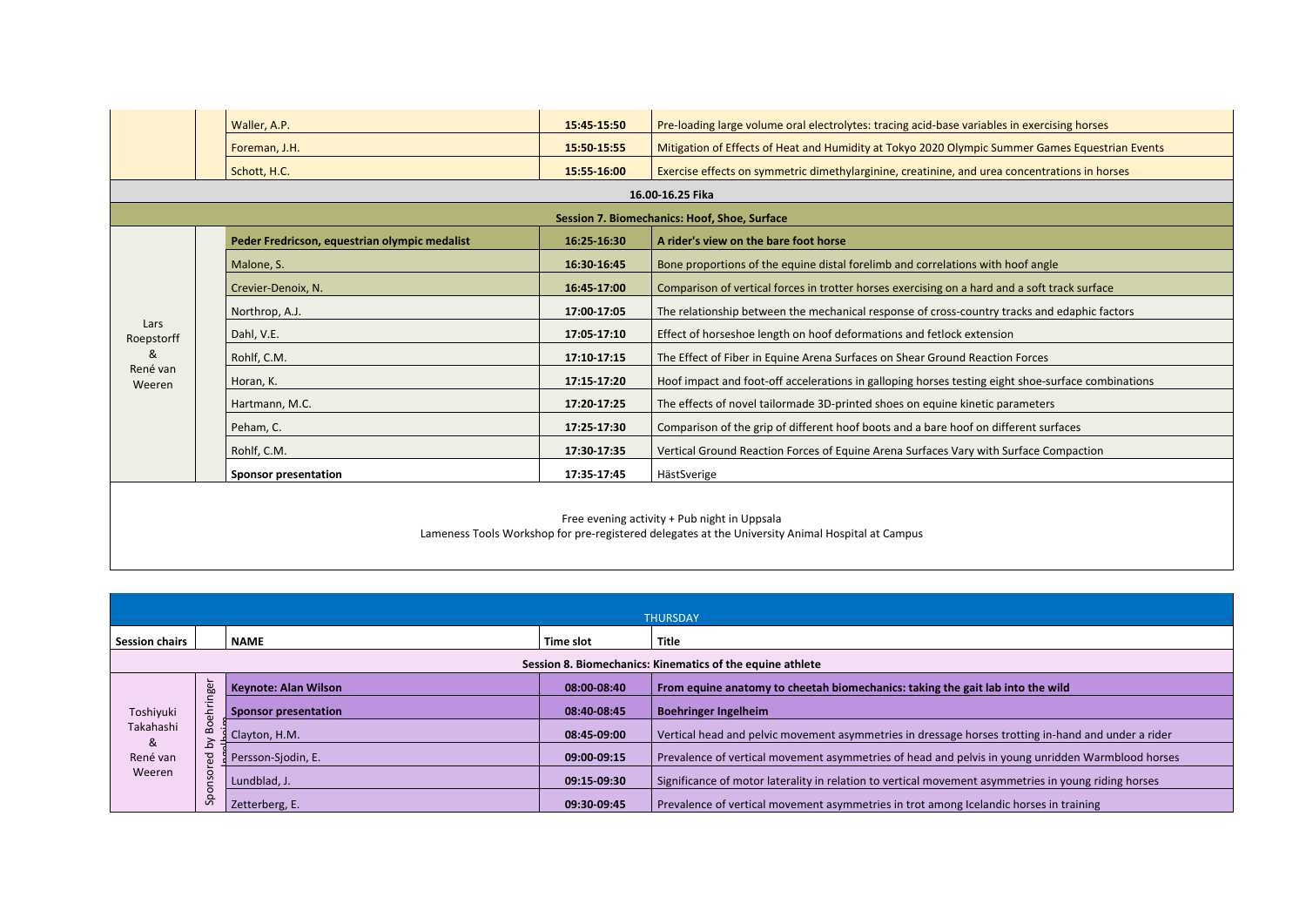|                    | Waller, A.P.                                                                                                                                     | 15:45 15:50 | Pre-loading large volume oral electrolytes: tracing acid-base variables in exercising horses       |  |  |
|--------------------|--------------------------------------------------------------------------------------------------------------------------------------------------|-------------|----------------------------------------------------------------------------------------------------|--|--|
|                    | Foreman, J.H.                                                                                                                                    | 15:50-15:55 | Mitigation of Effects of Heat and Humidity at Tokyo 2020 Olympic Summer Games Equestrian Events    |  |  |
|                    | Schott, H.C.                                                                                                                                     | 15:55-16:00 | Exercise effects on symmetric dimethylarginine, creatinine, and urea concentrations in horses      |  |  |
|                    |                                                                                                                                                  |             | 16.00-16.25 Fika                                                                                   |  |  |
|                    |                                                                                                                                                  |             | Session 7. Biomechanics: Hoof, Shoe, Surface                                                       |  |  |
|                    | Peder Fredricson, equestrian olympic medalist                                                                                                    | 16:25 16:30 | A rider's view on the bare foot horse                                                              |  |  |
|                    | Malone, S.                                                                                                                                       | 16:30-16:45 | Bone proportions of the equine distal forelimb and correlations with hoof angle                    |  |  |
|                    | Crevier-Denoix, N.                                                                                                                               | 16:45-17:00 | Comparison of vertical forces in trotter horses exercising on a hard and a soft track surface      |  |  |
|                    | Northrop, A.J.                                                                                                                                   | 17:00-17:05 | The relationship between the mechanical response of cross-country tracks and edaphic factors       |  |  |
| Lars<br>Roepstorff | Dahl, V.E.                                                                                                                                       | 17:05 17:10 | Effect of horseshoe length on hoof deformations and fetlock extension                              |  |  |
| &                  | Rohlf, C.M.                                                                                                                                      | 17:10 17:15 | The Effect of Fiber in Equine Arena Surfaces on Shear Ground Reaction Forces                       |  |  |
| René van<br>Weeren | Horan, K.                                                                                                                                        | 17:15 17:20 | Hoof impact and foot-off accelerations in galloping horses testing eight shoe-surface combinations |  |  |
|                    | Hartmann, M.C.                                                                                                                                   | 17:20 17:25 | The effects of novel tailormade 3D-printed shoes on equine kinetic parameters                      |  |  |
|                    | Peham, C.                                                                                                                                        | 17:25 17:30 | Comparison of the grip of different hoof boots and a bare hoof on different surfaces               |  |  |
|                    | Rohlf, C.M.                                                                                                                                      | 17:30 17:35 | Vertical Ground Reaction Forces of Equine Arena Surfaces Vary with Surface Compaction              |  |  |
|                    | <b>Sponsor presentation</b>                                                                                                                      | 17:35 17:45 | HästSverige                                                                                        |  |  |
|                    | Free evening activity + Pub night in Uppsala<br>Lameness Tools Workshop for pre-registered delegates at the University Animal Hospital at Campus |             |                                                                                                    |  |  |

|                                      | <b>THURSDAY</b>                                           |                             |             |                                                                                                      |  |  |  |
|--------------------------------------|-----------------------------------------------------------|-----------------------------|-------------|------------------------------------------------------------------------------------------------------|--|--|--|
| <b>Session chairs</b>                |                                                           | <b>NAME</b>                 | Time slot   | <b>Title</b>                                                                                         |  |  |  |
|                                      | Session 8. Biomechanics: Kinematics of the equine athlete |                             |             |                                                                                                      |  |  |  |
|                                      | $\overline{\phantom{0}}$<br>nge                           | <b>Keynote: Alan Wilson</b> | 08:00-08:40 | From equine anatomy to cheetah biomechanics: taking the gait lab into the wild                       |  |  |  |
| Toshiyuki                            | ⋷<br>ᅩ                                                    | <b>Sponsor presentation</b> | 08:40 08:45 | <b>Boehringer Ingelheim</b>                                                                          |  |  |  |
| Takahashi<br>&<br>René van<br>Weeren | $\overline{8}$<br>$\alpha$<br>ءَ<br>옵                     | Clayton, H.M.               | 08:45-09:00 | Vertical head and pelvic movement asymmetries in dressage horses trotting in-hand and under a rider  |  |  |  |
|                                      |                                                           | Persson-Siodin, E.          | 09:00-09:15 | Prevalence of vertical movement asymmetries of head and pelvis in young unridden Warmblood horses    |  |  |  |
|                                      | ă<br>S<br>$\mathbf{C}$                                    | Lundblad, J.                | 09:15-09:30 | Significance of motor laterality in relation to vertical movement asymmetries in young riding horses |  |  |  |
|                                      | $\epsilon$<br>နှ                                          | Zetterberg, E.              | 09:30 09:45 | Prevalence of vertical movement asymmetries in trot among Icelandic horses in training               |  |  |  |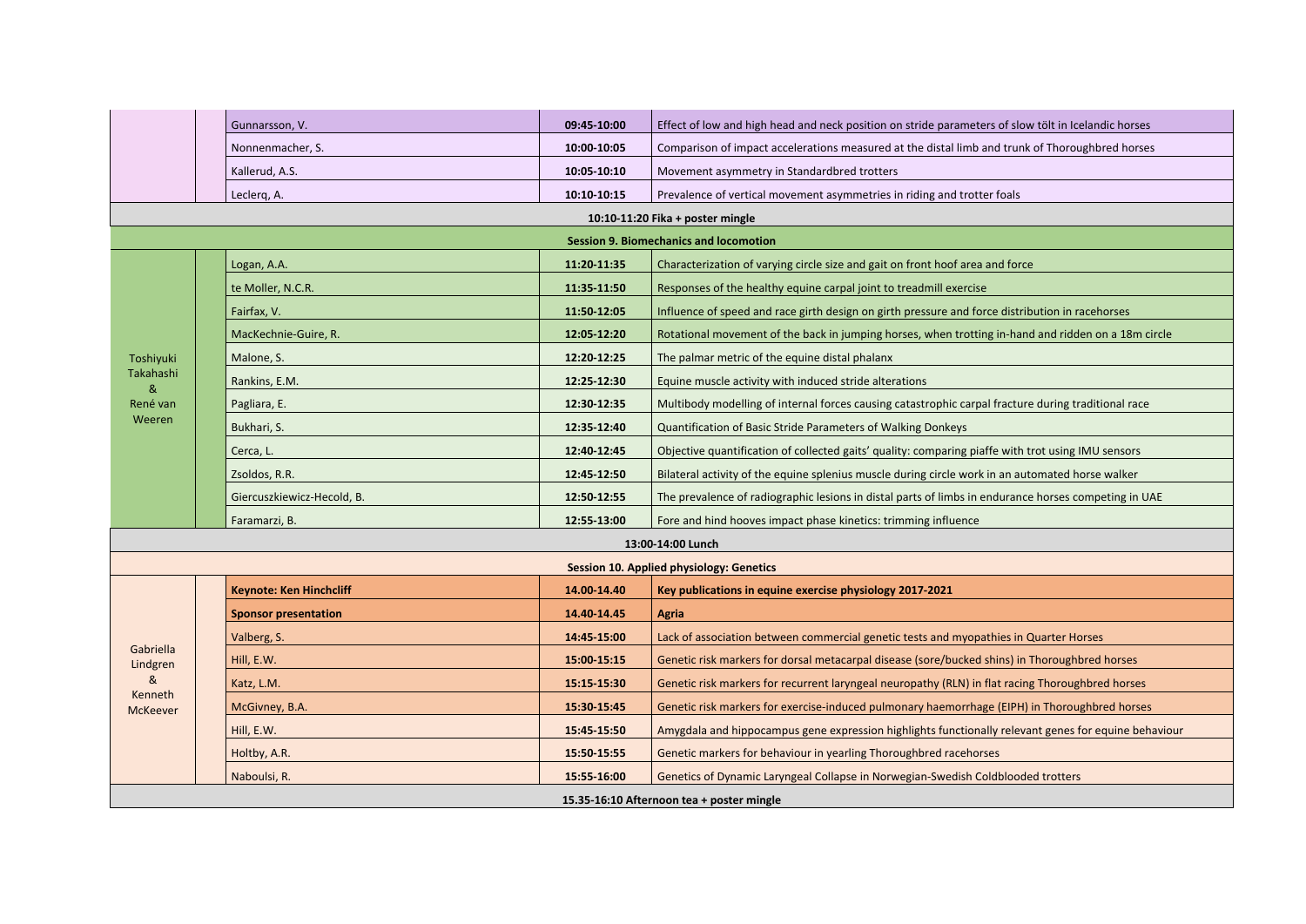|                                           | Gunnarsson, V.                                | 09:45-10:00 | Effect of low and high head and neck position on stride parameters of slow tölt in Icelandic horses  |  |  |  |
|-------------------------------------------|-----------------------------------------------|-------------|------------------------------------------------------------------------------------------------------|--|--|--|
|                                           | Nonnenmacher, S.                              | 10:00-10:05 | Comparison of impact accelerations measured at the distal limb and trunk of Thoroughbred horses      |  |  |  |
|                                           | Kallerud, A.S.                                | 10:05 10:10 | Movement asymmetry in Standardbred trotters                                                          |  |  |  |
|                                           | Leclerq, A.                                   | 10:10-10:15 | Prevalence of vertical movement asymmetries in riding and trotter foals                              |  |  |  |
|                                           |                                               |             | 10:10-11:20 Fika + poster mingle                                                                     |  |  |  |
|                                           | <b>Session 9. Biomechanics and locomotion</b> |             |                                                                                                      |  |  |  |
|                                           | Logan, A.A.                                   | 11:20-11:35 | Characterization of varying circle size and gait on front hoof area and force                        |  |  |  |
|                                           | te Moller, N.C.R.                             | 11:35-11:50 | Responses of the healthy equine carpal joint to treadmill exercise                                   |  |  |  |
|                                           | Fairfax, V.                                   | 11:50-12:05 | Influence of speed and race girth design on girth pressure and force distribution in racehorses      |  |  |  |
|                                           | MacKechnie-Guire, R.                          | 12:05-12:20 | Rotational movement of the back in jumping horses, when trotting in-hand and ridden on a 18m circle  |  |  |  |
| Toshiyuki                                 | Malone, S.                                    | 12:20-12:25 | The palmar metric of the equine distal phalanx                                                       |  |  |  |
| Takahashi<br>&                            | Rankins, E.M.                                 | 12:25-12:30 | Equine muscle activity with induced stride alterations                                               |  |  |  |
| René van                                  | Pagliara, E.                                  | 12:30-12:35 | Multibody modelling of internal forces causing catastrophic carpal fracture during traditional race  |  |  |  |
| Weeren                                    | Bukhari, S.                                   | 12:35 12:40 | Quantification of Basic Stride Parameters of Walking Donkeys                                         |  |  |  |
|                                           | Cerca, L.                                     | 12:40-12:45 | Objective quantification of collected gaits' quality: comparing piaffe with trot using IMU sensors   |  |  |  |
|                                           | Zsoldos, R.R.                                 | 12:45-12:50 | Bilateral activity of the equine splenius muscle during circle work in an automated horse walker     |  |  |  |
|                                           | Giercuszkiewicz-Hecold, B.                    | 12:50-12:55 | The prevalence of radiographic lesions in distal parts of limbs in endurance horses competing in UAE |  |  |  |
|                                           | Faramarzi, B.                                 | 12:55-13:00 | Fore and hind hooves impact phase kinetics: trimming influence                                       |  |  |  |
| 13:00-14:00 Lunch                         |                                               |             |                                                                                                      |  |  |  |
|                                           |                                               |             | <b>Session 10. Applied physiology: Genetics</b>                                                      |  |  |  |
|                                           | <b>Keynote: Ken Hinchcliff</b>                | 14.00-14.40 | Key publications in equine exercise physiology 2017-2021                                             |  |  |  |
|                                           | <b>Sponsor presentation</b>                   | 14.40-14.45 | <b>Agria</b>                                                                                         |  |  |  |
|                                           | Valberg, S.                                   | 14:45 15:00 | Lack of association between commercial genetic tests and myopathies in Quarter Horses                |  |  |  |
| Gabriella<br>Lindgren                     | Hill, E.W.                                    | 15:00 15:15 | Genetic risk markers for dorsal metacarpal disease (sore/bucked shins) in Thoroughbred horses        |  |  |  |
| &                                         | Katz, L.M.                                    | 15:15 15:30 | Genetic risk markers for recurrent laryngeal neuropathy (RLN) in flat racing Thoroughbred horses     |  |  |  |
| Kenneth<br><b>McKeever</b>                | McGivney, B.A.                                | 15:30-15:45 | Genetic risk markers for exercise-induced pulmonary haemorrhage (EIPH) in Thoroughbred horses        |  |  |  |
|                                           | Hill, E.W.                                    | 15:45 15:50 | Amygdala and hippocampus gene expression highlights functionally relevant genes for equine behaviour |  |  |  |
|                                           | Holtby, A.R.                                  | 15:50-15:55 | Genetic markers for behaviour in yearling Thoroughbred racehorses                                    |  |  |  |
|                                           | Naboulsi, R.                                  | 15:55-16:00 | Genetics of Dynamic Laryngeal Collapse in Norwegian-Swedish Coldblooded trotters                     |  |  |  |
| 15.35-16:10 Afternoon tea + poster mingle |                                               |             |                                                                                                      |  |  |  |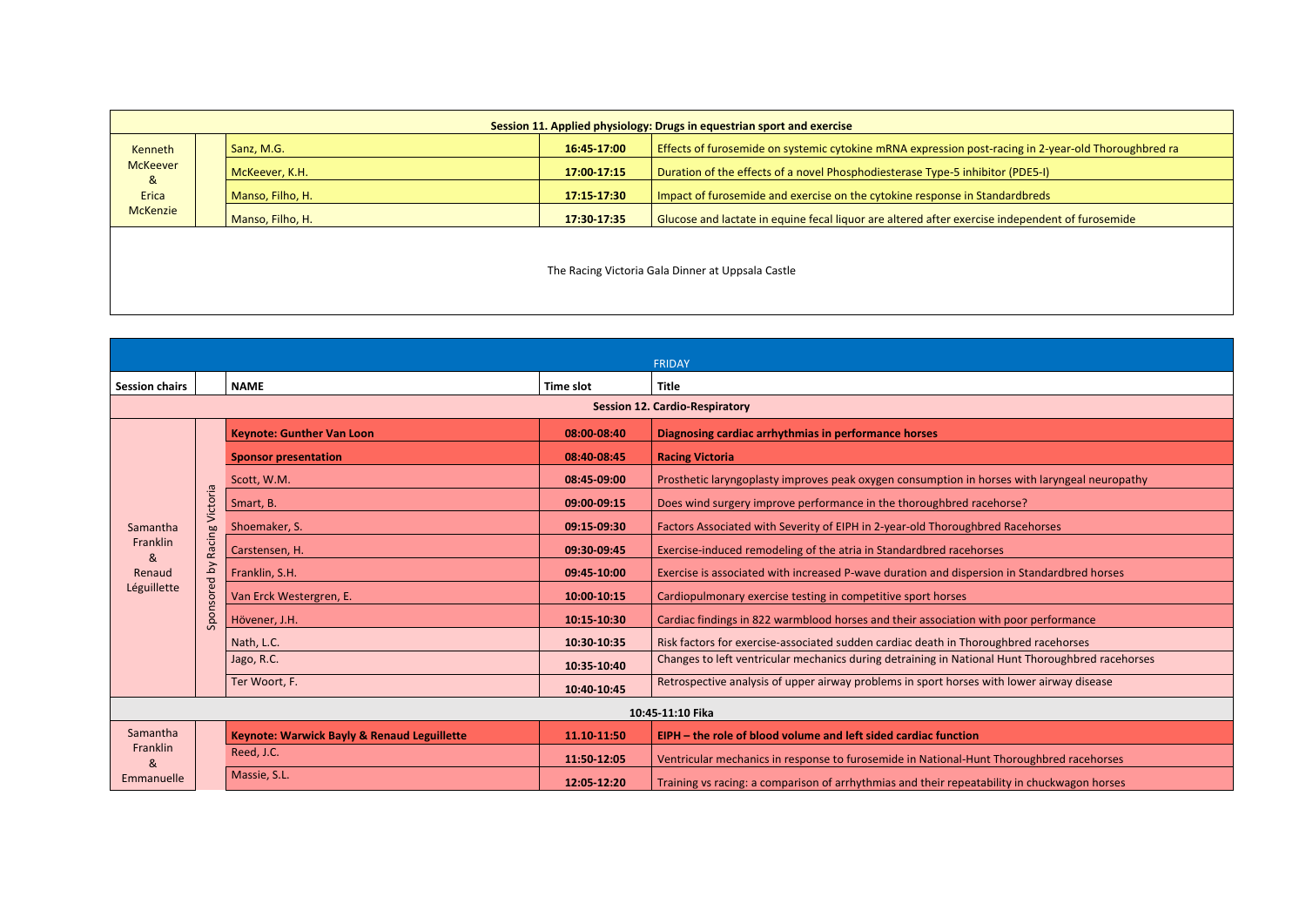| Session 11. Applied physiology: Drugs in equestrian sport and exercise |  |                  |             |                                                                                                        |  |  |  |
|------------------------------------------------------------------------|--|------------------|-------------|--------------------------------------------------------------------------------------------------------|--|--|--|
| <b>Kenneth</b><br><b>McKeever</b>                                      |  | Sanz, M.G.       | 16:45 17:00 | Effects of furosemide on systemic cytokine mRNA expression post-racing in 2-year-old Thoroughbred ra   |  |  |  |
|                                                                        |  | McKeever, K.H.   | 17:00 17:15 | Duration of the effects of a novel Phosphodiesterase Type-5 inhibitor (PDE5-I)                         |  |  |  |
| &<br>Erica                                                             |  | Manso, Filho, H. | 17:15 17:30 | Impact of furosemide and exercise on the cytokine response in Standardbreds                            |  |  |  |
| <b>McKenzie</b>                                                        |  | Manso, Filho, H. | 17:30 17:35 | <b>Glucose and lactate in equine fecal liquor are altered after exercise independent of furosemide</b> |  |  |  |
|                                                                        |  |                  |             |                                                                                                        |  |  |  |

The Racing Victoria Gala Dinner at Uppsala Castle

|                       |                 |                                             |             | FRIDAY                                                                                           |
|-----------------------|-----------------|---------------------------------------------|-------------|--------------------------------------------------------------------------------------------------|
| <b>Session chairs</b> |                 | <b>NAMF</b>                                 | Time slot   | <b>Title</b>                                                                                     |
|                       |                 |                                             |             | <b>Session 12. Cardio-Respiratory</b>                                                            |
|                       |                 | <b>Keynote: Gunther Van Loon</b>            | 08:00-08:40 | Diagnosing cardiac arrhythmias in performance horses                                             |
|                       |                 | <b>Sponsor presentation</b>                 | 08:40-08:45 | <b>Racing Victoria</b>                                                                           |
|                       |                 | Scott, W.M.                                 | 08:45-09:00 | Prosthetic laryngoplasty improves peak oxygen consumption in horses with laryngeal neuropathy    |
|                       | Racing Victoria | Smart, B.                                   | 09:00-09:15 | Does wind surgery improve performance in the thoroughbred racehorse?                             |
| Samantha              |                 | Shoemaker, S.                               | 09:15-09:30 | Factors Associated with Severity of EIPH in 2-year-old Thoroughbred Racehorses                   |
| Franklin<br>&         |                 | Carstensen, H.                              | 09:30 09:45 | Exercise-induced remodeling of the atria in Standardbred racehorses                              |
| Renaud                |                 | Franklin, S.H.                              | 09:45-10:00 | Exercise is associated with increased P-wave duration and dispersion in Standardbred horses      |
| Léguillette           |                 | Van Erck Westergren, E.                     | 10:00 10:15 | Cardiopulmonary exercise testing in competitive sport horses                                     |
|                       | Sponsored by    | Hövener, J.H.                               | 10:15-10:30 | Cardiac findings in 822 warmblood horses and their association with poor performance             |
|                       |                 | Nath, L.C.                                  | 10:30 10:35 | Risk factors for exercise-associated sudden cardiac death in Thoroughbred racehorses             |
|                       |                 | Jago, R.C.                                  | 10:35-10:40 | Changes to left ventricular mechanics during detraining in National Hunt Thoroughbred racehorses |
|                       |                 | Ter Woort, F.                               | 10:40-10:45 | Retrospective analysis of upper airway problems in sport horses with lower airway disease        |
| 10:45-11:10 Fika      |                 |                                             |             |                                                                                                  |
| Samantha              |                 | Keynote: Warwick Bayly & Renaud Leguillette | 11.10-11:50 | EIPH – the role of blood volume and left sided cardiac function                                  |
| Franklin<br>&         |                 | Reed, J.C.                                  | 11:50-12:05 | Ventricular mechanics in response to furosemide in National-Hunt Thoroughbred racehorses         |
| Emmanuelle            |                 | Massie, S.L.                                | 12:05-12:20 | Training vs racing: a comparison of arrhythmias and their repeatability in chuckwagon horses     |